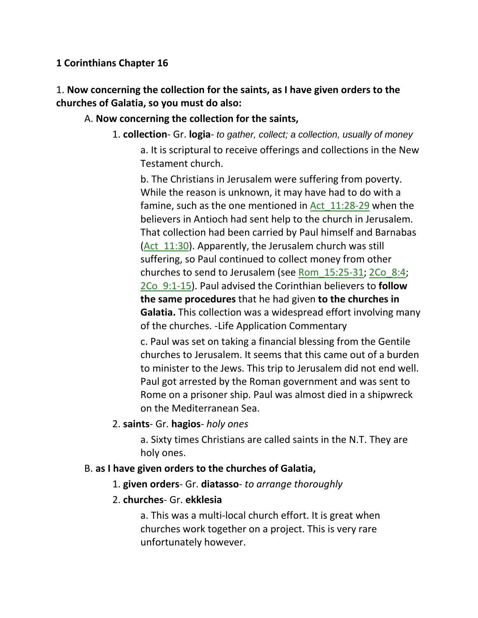## **1 Corinthians Chapter 16**

1. **Now concerning the collection for the saints, as I have given orders to the churches of Galatia, so you must do also:** 

## A. **Now concerning the collection for the saints,**

1. **collection**- Gr. **logia**- *to gather, collect; a collection, usually of money* a. It is scriptural to receive offerings and collections in the New Testament church.

b. The Christians in Jerusalem were suffering from poverty. While the reason is unknown, it may have had to do with a famine, such as the one mentioned in Act 11:28-29 when the believers in Antioch had sent help to the church in Jerusalem. That collection had been carried by Paul himself and Barnabas (Act  $11:30$ ). Apparently, the Jerusalem church was still suffering, so Paul continued to collect money from other churches to send to Jerusalem (see Rom\_15:25-31; 2Co\_8:4; 2Co\_9:1-15). Paul advised the Corinthian believers to **follow the same procedures** that he had given **to the churches in Galatia.** This collection was a widespread effort involving many of the churches. -Life Application Commentary

c. Paul was set on taking a financial blessing from the Gentile churches to Jerusalem. It seems that this came out of a burden to minister to the Jews. This trip to Jerusalem did not end well. Paul got arrested by the Roman government and was sent to Rome on a prisoner ship. Paul was almost died in a shipwreck on the Mediterranean Sea.

## 2. **saints**- Gr. **hagios**- *holy ones*

a. Sixty times Christians are called saints in the N.T. They are holy ones.

## B. **as I have given orders to the churches of Galatia,**

1. **given orders**- Gr. **diatasso**- *to arrange thoroughly*

## 2. **churches**- Gr. **ekklesia**

a. This was a multi-local church effort. It is great when churches work together on a project. This is very rare unfortunately however.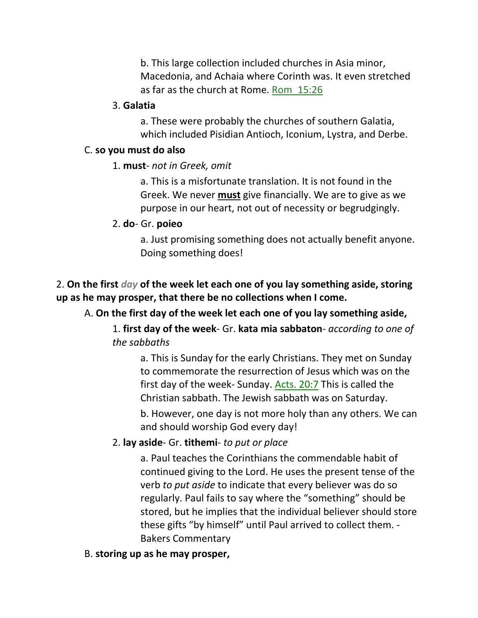b. This large collection included churches in Asia minor, Macedonia, and Achaia where Corinth was. It even stretched as far as the church at Rome. Rom\_15:26

#### 3. **Galatia**

a. These were probably the churches of southern Galatia, which included Pisidian Antioch, Iconium, Lystra, and Derbe.

#### C. **so you must do also**

#### 1. **must**- *not in Greek, omit*

a. This is a misfortunate translation. It is not found in the Greek. We never **must** give financially. We are to give as we purpose in our heart, not out of necessity or begrudgingly.

#### 2. **do**- Gr. **poieo**

a. Just promising something does not actually benefit anyone. Doing something does!

## 2. **On the first** *day* **of the week let each one of you lay something aside, storing up as he may prosper, that there be no collections when I come.**

#### A. **On the first day of the week let each one of you lay something aside,**

1. **first day of the week**- Gr. **kata mia sabbaton**- *according to one of the sabbaths*

a. This is Sunday for the early Christians. They met on Sunday to commemorate the resurrection of Jesus which was on the first day of the week- Sunday. Acts. 20:7 This is called the Christian sabbath. The Jewish sabbath was on Saturday.

b. However, one day is not more holy than any others. We can and should worship God every day!

#### 2. **lay aside**- Gr. **tithemi**- *to put or place*

a. Paul teaches the Corinthians the commendable habit of continued giving to the Lord. He uses the present tense of the verb *to put aside* to indicate that every believer was do so regularly. Paul fails to say where the "something" should be stored, but he implies that the individual believer should store these gifts "by himself" until Paul arrived to collect them. - Bakers Commentary

#### B. **storing up as he may prosper,**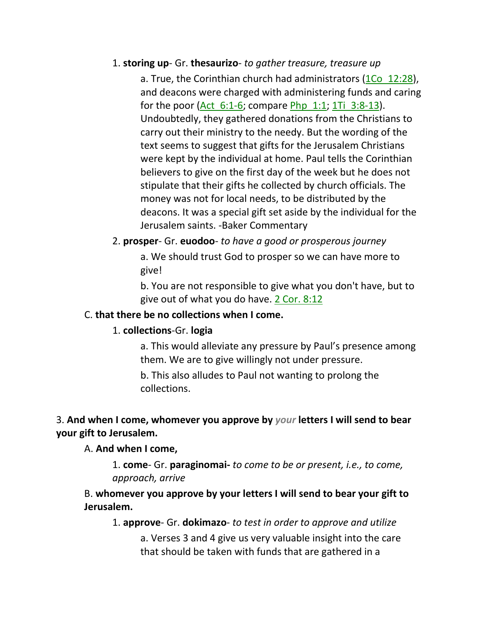### 1. **storing up**- Gr. **thesaurizo**- *to gather treasure, treasure up*

a. True, the Corinthian church had administrators (1Co 12:28), and deacons were charged with administering funds and caring for the poor (Act  $6:1-6$ ; compare Php  $1:1$ ; 1Ti  $3:8-13$ ). Undoubtedly, they gathered donations from the Christians to carry out their ministry to the needy. But the wording of the text seems to suggest that gifts for the Jerusalem Christians were kept by the individual at home. Paul tells the Corinthian believers to give on the first day of the week but he does not stipulate that their gifts he collected by church officials. The money was not for local needs, to be distributed by the deacons. It was a special gift set aside by the individual for the Jerusalem saints. -Baker Commentary

# 2. **prosper**- Gr. **euodoo**- *to have a good or prosperous journey* a. We should trust God to prosper so we can have more to

give! b. You are not responsible to give what you don't have, but to

give out of what you do have. 2 Cor. 8:12

## C. **that there be no collections when I come.**

## 1. **collections**-Gr. **logia**

a. This would alleviate any pressure by Paul's presence among them. We are to give willingly not under pressure.

b. This also alludes to Paul not wanting to prolong the collections.

# 3. **And when I come, whomever you approve by** *your* **letters I will send to bear your gift to Jerusalem.**

## A. **And when I come,**

1. **come**- Gr. **paraginomai-** *to come to be or present, i.e., to come, approach, arrive*

B. **whomever you approve by your letters I will send to bear your gift to Jerusalem.**

1. **approve**- Gr. **dokimazo**- *to test in order to approve and utilize*

a. Verses 3 and 4 give us very valuable insight into the care that should be taken with funds that are gathered in a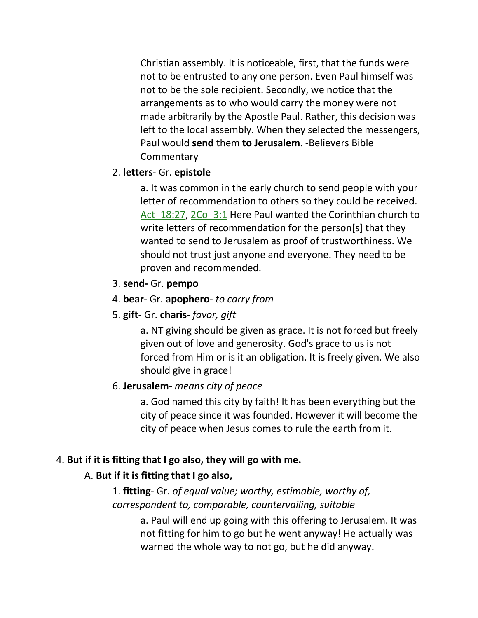Christian assembly. It is noticeable, first, that the funds were not to be entrusted to any one person. Even Paul himself was not to be the sole recipient. Secondly, we notice that the arrangements as to who would carry the money were not made arbitrarily by the Apostle Paul. Rather, this decision was left to the local assembly. When they selected the messengers, Paul would **send** them **to Jerusalem**. -Believers Bible **Commentary** 

## 2. **letters**- Gr. **epistole**

a. It was common in the early church to send people with your letter of recommendation to others so they could be received. Act 18:27, 2Co 3:1 Here Paul wanted the Corinthian church to write letters of recommendation for the person[s] that they wanted to send to Jerusalem as proof of trustworthiness. We should not trust just anyone and everyone. They need to be proven and recommended.

## 3. **send-** Gr. **pempo**

## 4. **bear**- Gr. **apophero**- *to carry from*

## 5. **gift**- Gr. **charis**- *favor, gift*

a. NT giving should be given as grace. It is not forced but freely given out of love and generosity. God's grace to us is not forced from Him or is it an obligation. It is freely given. We also should give in grace!

## 6. **Jerusalem**- *means city of peace*

a. God named this city by faith! It has been everything but the city of peace since it was founded. However it will become the city of peace when Jesus comes to rule the earth from it.

# 4. **But if it is fitting that I go also, they will go with me.**

# A. **But if it is fitting that I go also,**

1. **fitting**- Gr. *of equal value; worthy, estimable, worthy of, correspondent to, comparable, countervailing, suitable* 

> a. Paul will end up going with this offering to Jerusalem. It was not fitting for him to go but he went anyway! He actually was warned the whole way to not go, but he did anyway.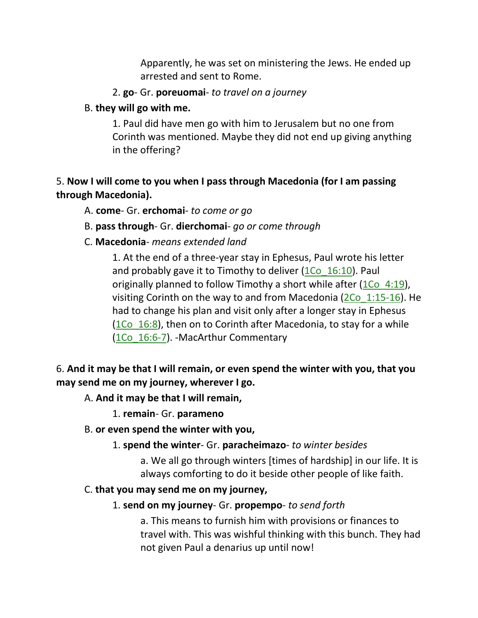Apparently, he was set on ministering the Jews. He ended up arrested and sent to Rome.

- 2. **go** Gr. **poreuomai** *to travel on a journey*
- B. **they will go with me.**

1. Paul did have men go with him to Jerusalem but no one from Corinth was mentioned. Maybe they did not end up giving anything in the offering?

# 5. **Now I will come to you when I pass through Macedonia (for I am passing through Macedonia).**

- A. **come** Gr. **erchomai** *to come or go*
- B. **pass through** Gr. **dierchomai** *go or come through*
- C. **Macedonia** *means extended land*

1. At the end of a three-year stay in Ephesus, Paul wrote his letter and probably gave it to Timothy to deliver  $(1C<sub>0</sub> 16:10)$ . Paul originally planned to follow Timothy a short while after  $(1Co 4:19)$ , visiting Corinth on the way to and from Macedonia (2Co\_1:15-16). He had to change his plan and visit only after a longer stay in Ephesus (1Co  $16:8$ ), then on to Corinth after Macedonia, to stay for a while (1Co 16:6-7). -MacArthur Commentary

# 6. **And it may be that I will remain, or even spend the winter with you, that you may send me on my journey, wherever I go.**

## A. **And it may be that I will remain,**

1. **remain**- Gr. **parameno**

- B. **or even spend the winter with you,**
	- 1. **spend the winter** Gr. **paracheimazo** *to winter besides*

a. We all go through winters [times of hardship] in our life. It is always comforting to do it beside other people of like faith.

## C. **that you may send me on my journey,**

## 1. **send on my journey**- Gr. **propempo**- *to send forth*

a. This means to furnish him with provisions or finances to travel with. This was wishful thinking with this bunch. They had not given Paul a denarius up until now!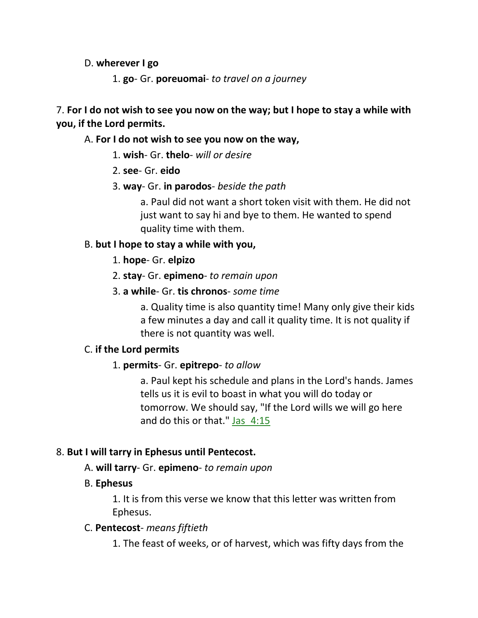### D. **wherever I go**

1. **go**- Gr. **poreuomai**- *to travel on a journey*

7. **For I do not wish to see you now on the way; but I hope to stay a while with you, if the Lord permits.** 

### A. **For I do not wish to see you now on the way,**

1. **wish**- Gr. **thelo**- *will or desire*

- 2. **see** Gr. **eido**
- 3. **way** Gr. **in parodos** *beside the path*

a. Paul did not want a short token visit with them. He did not just want to say hi and bye to them. He wanted to spend quality time with them.

## B. **but I hope to stay a while with you,**

1. **hope**- Gr. **elpizo**

- 2. **stay** Gr. **epimeno** *to remain upon*
- 3. **a while** Gr. **tis chronos** *some time*

a. Quality time is also quantity time! Many only give their kids a few minutes a day and call it quality time. It is not quality if there is not quantity was well.

## C. **if the Lord permits**

## 1. **permits**- Gr. **epitrepo**- *to allow*

a. Paul kept his schedule and plans in the Lord's hands. James tells us it is evil to boast in what you will do today or tomorrow. We should say, "If the Lord wills we will go here and do this or that."  $jas$  4:15

## 8. **But I will tarry in Ephesus until Pentecost.**

## A. **will tarry**- Gr. **epimeno**- *to remain upon*

## B. **Ephesus**

1. It is from this verse we know that this letter was written from Ephesus.

#### C. **Pentecost**- *means fiftieth*

1. The feast of weeks, or of harvest, which was fifty days from the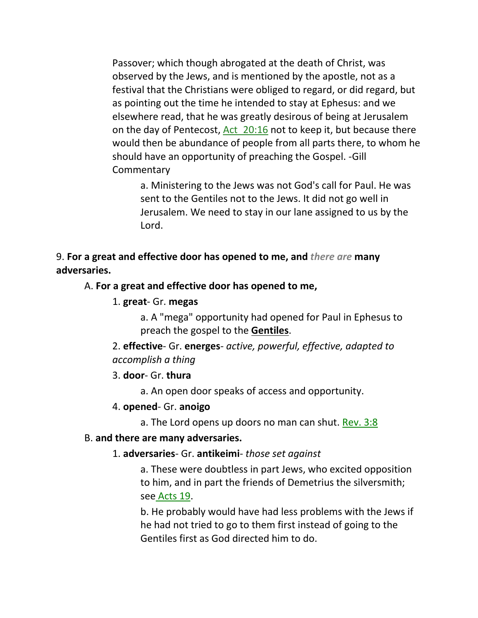Passover; which though abrogated at the death of Christ, was observed by the Jews, and is mentioned by the apostle, not as a festival that the Christians were obliged to regard, or did regard, but as pointing out the time he intended to stay at Ephesus: and we elsewhere read, that he was greatly desirous of being at Jerusalem on the day of Pentecost, Act 20:16 not to keep it, but because there would then be abundance of people from all parts there, to whom he should have an opportunity of preaching the Gospel. -Gill **Commentary** 

a. Ministering to the Jews was not God's call for Paul. He was sent to the Gentiles not to the Jews. It did not go well in Jerusalem. We need to stay in our lane assigned to us by the Lord.

9. **For a great and effective door has opened to me, and** *there are* **many adversaries.**

#### A. **For a great and effective door has opened to me,**

#### 1. **great**- Gr. **megas**

a. A "mega" opportunity had opened for Paul in Ephesus to preach the gospel to the **Gentiles**.

2. **effective**- Gr. **energes**- *active, powerful, effective, adapted to accomplish a thing*

#### 3. **door**- Gr. **thura**

a. An open door speaks of access and opportunity.

#### 4. **opened**- Gr. **anoigo**

a. The Lord opens up doors no man can shut. Rev. 3:8

#### B. **and there are many adversaries.**

#### 1. **adversaries**- Gr. **antikeimi**- *those set against*

a. These were doubtless in part Jews, who excited opposition to him, and in part the friends of Demetrius the silversmith; see Acts 19.

b. He probably would have had less problems with the Jews if he had not tried to go to them first instead of going to the Gentiles first as God directed him to do.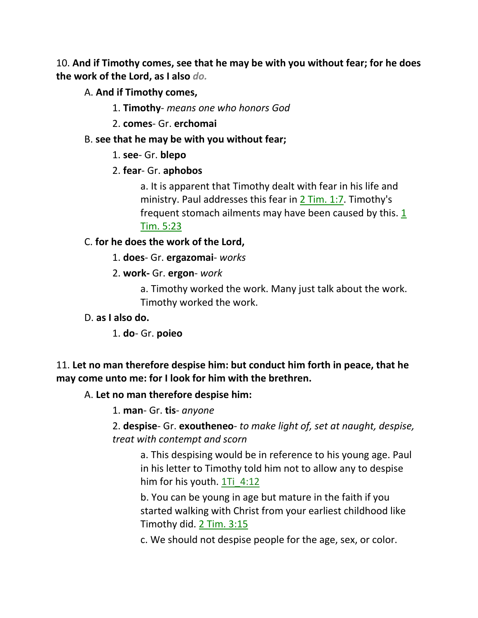10. **And if Timothy comes, see that he may be with you without fear; for he does the work of the Lord, as I also** *do.*

A. **And if Timothy comes,**

- 1. **Timothy** *means one who honors God*
- 2. **comes** Gr. **erchomai**

### B. **see that he may be with you without fear;**

- 1. **see** Gr. **blepo**
- 2. **fear** Gr. **aphobos**

a. It is apparent that Timothy dealt with fear in his life and ministry. Paul addresses this fear in 2 Tim. 1:7. Timothy's frequent stomach ailments may have been caused by this.  $1$ Tim. 5:23

## C. **for he does the work of the Lord,**

- 1. **does** Gr. **ergazomai** *works*
- 2. **work-** Gr. **ergon** *work*

a. Timothy worked the work. Many just talk about the work. Timothy worked the work.

D. **as I also do.**

1. **do**- Gr. **poieo**

## 11. **Let no man therefore despise him: but conduct him forth in peace, that he may come unto me: for I look for him with the brethren.**

## A. **Let no man therefore despise him:**

1. **man**- Gr. **tis**- *anyone*

2. **despise**- Gr. **exoutheneo**- *to make light of, set at naught, despise, treat with contempt and scorn*

a. This despising would be in reference to his young age. Paul in his letter to Timothy told him not to allow any to despise him for his youth. 1Ti 4:12

b. You can be young in age but mature in the faith if you started walking with Christ from your earliest childhood like Timothy did. 2 Tim. 3:15

c. We should not despise people for the age, sex, or color.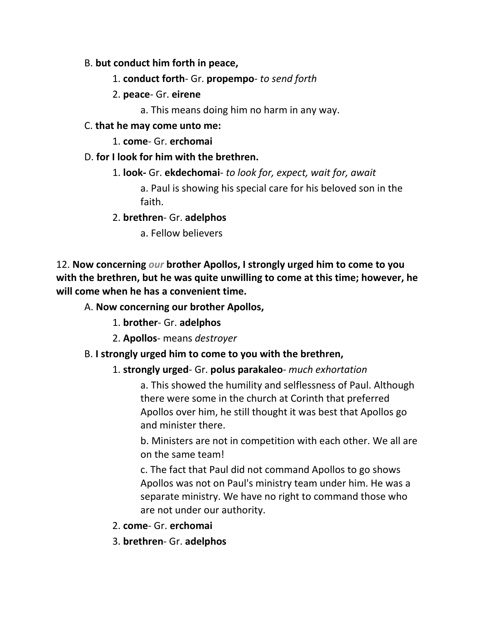## B. **but conduct him forth in peace,**

- 1. **conduct forth** Gr. **propempo** *to send forth*
- 2. **peace** Gr. **eirene**
	- a. This means doing him no harm in any way.
- C. **that he may come unto me:**
	- 1. **come** Gr. **erchomai**
- D. **for I look for him with the brethren.**
	- 1. **look-** Gr. **ekdechomai** *to look for, expect, wait for, await*

a. Paul is showing his special care for his beloved son in the faith.

- 2. **brethren** Gr. **adelphos**
	- a. Fellow believers

12. **Now concerning** *our* **brother Apollos, I strongly urged him to come to you with the brethren, but he was quite unwilling to come at this time; however, he will come when he has a convenient time.** 

- A. **Now concerning our brother Apollos,**
	- 1. **brother** Gr. **adelphos**
	- 2. **Apollos** means *destroyer*

# B. **I strongly urged him to come to you with the brethren,**

## 1. **strongly urged**- Gr. **polus parakaleo**- *much exhortation*

a. This showed the humility and selflessness of Paul. Although there were some in the church at Corinth that preferred Apollos over him, he still thought it was best that Apollos go and minister there.

b. Ministers are not in competition with each other. We all are on the same team!

c. The fact that Paul did not command Apollos to go shows Apollos was not on Paul's ministry team under him. He was a separate ministry. We have no right to command those who are not under our authority.

- 2. **come** Gr. **erchomai**
- 3. **brethren** Gr. **adelphos**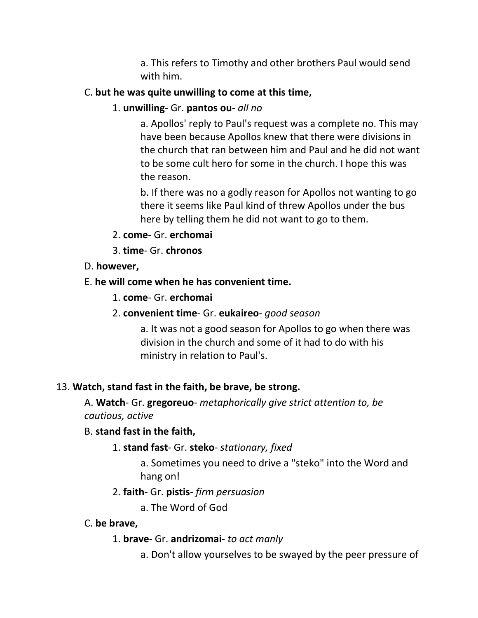a. This refers to Timothy and other brothers Paul would send with him.

## C. **but he was quite unwilling to come at this time,**

1. **unwilling**- Gr. **pantos ou**- *all no*

a. Apollos' reply to Paul's request was a complete no. This may have been because Apollos knew that there were divisions in the church that ran between him and Paul and he did not want to be some cult hero for some in the church. I hope this was the reason.

b. If there was no a godly reason for Apollos not wanting to go there it seems like Paul kind of threw Apollos under the bus here by telling them he did not want to go to them.

- 2. **come** Gr. **erchomai**
- 3. **time** Gr. **chronos**

## D. **however,**

## E. **he will come when he has convenient time.**

- 1. **come** Gr. **erchomai**
- 2. **convenient time** Gr. **eukaireo** *good season*

a. It was not a good season for Apollos to go when there was division in the church and some of it had to do with his ministry in relation to Paul's.

## 13. **Watch, stand fast in the faith, be brave, be strong.**

A. **Watch**- Gr. **gregoreuo**- *metaphorically give strict attention to, be cautious, active*

## B. **stand fast in the faith,**

1. **stand fast**- Gr. **steko**- *stationary, fixed*

a. Sometimes you need to drive a "steko" into the Word and hang on!

## 2. **faith**- Gr. **pistis**- *firm persuasion*

a. The Word of God

## C. **be brave,**

- 1. **brave** Gr. **andrizomai** *to act manly*
	- a. Don't allow yourselves to be swayed by the peer pressure of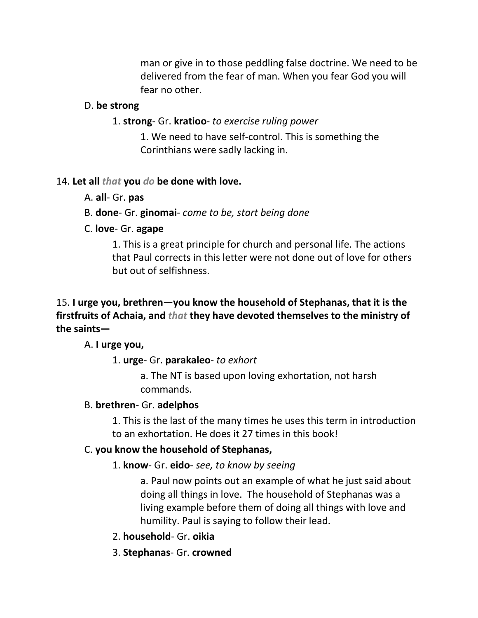man or give in to those peddling false doctrine. We need to be delivered from the fear of man. When you fear God you will fear no other.

#### D. **be strong**

#### 1. **strong**- Gr. **kratioo**- *to exercise ruling power*

1. We need to have self-control. This is something the Corinthians were sadly lacking in.

#### 14. **Let all** *that* **you** *do* **be done with love.**

A. **all**- Gr. **pas**

#### B. **done**- Gr. **ginomai**- *come to be, start being done*

#### C. **love**- Gr. **agape**

1. This is a great principle for church and personal life. The actions that Paul corrects in this letter were not done out of love for others but out of selfishness.

## 15. **I urge you, brethren—you know the household of Stephanas, that it is the firstfruits of Achaia, and** *that* **they have devoted themselves to the ministry of the saints—**

#### A. **I urge you,**

#### 1. **urge**- Gr. **parakaleo**- *to exhort*

a. The NT is based upon loving exhortation, not harsh commands.

#### B. **brethren**- Gr. **adelphos**

1. This is the last of the many times he uses this term in introduction to an exhortation. He does it 27 times in this book!

#### C. **you know the household of Stephanas,**

#### 1. **know**- Gr. **eido**- *see, to know by seeing*

a. Paul now points out an example of what he just said about doing all things in love. The household of Stephanas was a living example before them of doing all things with love and humility. Paul is saying to follow their lead.

- 2. **household** Gr. **oikia**
- 3. **Stephanas** Gr. **crowned**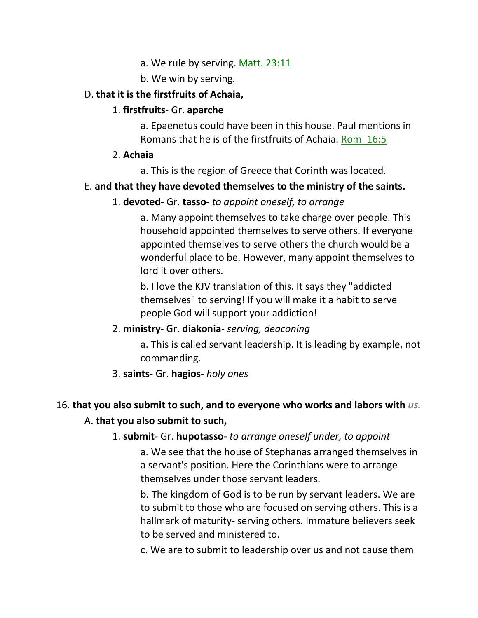- a. We rule by serving. Matt. 23:11
- b. We win by serving.

### D. **that it is the firstfruits of Achaia,**

### 1. **firstfruits**- Gr. **aparche**

a. Epaenetus could have been in this house. Paul mentions in Romans that he is of the firstfruits of Achaia. Rom\_16:5

2. **Achaia**

a. This is the region of Greece that Corinth was located.

## E. **and that they have devoted themselves to the ministry of the saints.**

### 1. **devoted**- Gr. **tasso**- *to appoint oneself, to arrange*

a. Many appoint themselves to take charge over people. This household appointed themselves to serve others. If everyone appointed themselves to serve others the church would be a wonderful place to be. However, many appoint themselves to lord it over others.

b. I love the KJV translation of this. It says they "addicted themselves" to serving! If you will make it a habit to serve people God will support your addiction!

## 2. **ministry**- Gr. **diakonia**- *serving, deaconing*

a. This is called servant leadership. It is leading by example, not commanding.

#### 3. **saints**- Gr. **hagios**- *holy ones*

## 16. **that you also submit to such, and to everyone who works and labors with** *us.*

#### A. **that you also submit to such,**

#### 1. **submit**- Gr. **hupotasso**- *to arrange oneself under, to appoint*

a. We see that the house of Stephanas arranged themselves in a servant's position. Here the Corinthians were to arrange themselves under those servant leaders.

b. The kingdom of God is to be run by servant leaders. We are to submit to those who are focused on serving others. This is a hallmark of maturity- serving others. Immature believers seek to be served and ministered to.

c. We are to submit to leadership over us and not cause them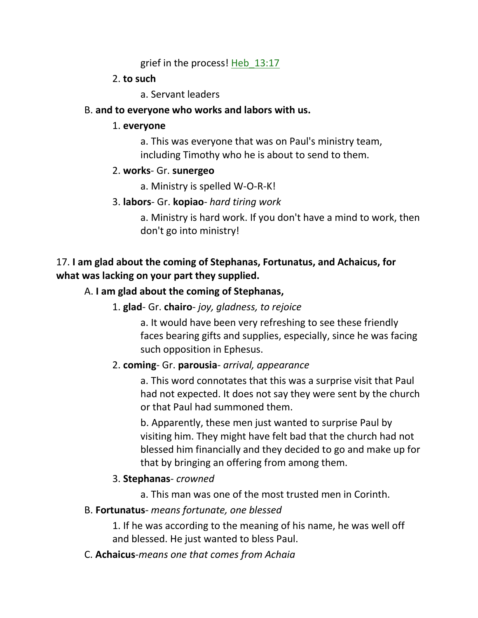grief in the process! Heb 13:17

## 2. **to such**

a. Servant leaders

## B. **and to everyone who works and labors with us.**

### 1. **everyone**

a. This was everyone that was on Paul's ministry team, including Timothy who he is about to send to them.

## 2. **works**- Gr. **sunergeo**

a. Ministry is spelled W-O-R-K!

## 3. **labors**- Gr. **kopiao**- *hard tiring work*

a. Ministry is hard work. If you don't have a mind to work, then don't go into ministry!

# 17. **I am glad about the coming of Stephanas, Fortunatus, and Achaicus, for what was lacking on your part they supplied.**

## A. **I am glad about the coming of Stephanas,**

1. **glad**- Gr. **chairo**- *joy, gladness, to rejoice*

a. It would have been very refreshing to see these friendly faces bearing gifts and supplies, especially, since he was facing such opposition in Ephesus.

## 2. **coming**- Gr. **parousia**- *arrival, appearance*

a. This word connotates that this was a surprise visit that Paul had not expected. It does not say they were sent by the church or that Paul had summoned them.

b. Apparently, these men just wanted to surprise Paul by visiting him. They might have felt bad that the church had not blessed him financially and they decided to go and make up for that by bringing an offering from among them.

## 3. **Stephanas**- *crowned*

a. This man was one of the most trusted men in Corinth.

## B. **Fortunatus**- *means fortunate, one blessed*

1. If he was according to the meaning of his name, he was well off and blessed. He just wanted to bless Paul.

C. **Achaicus**-*means one that comes from Achaia*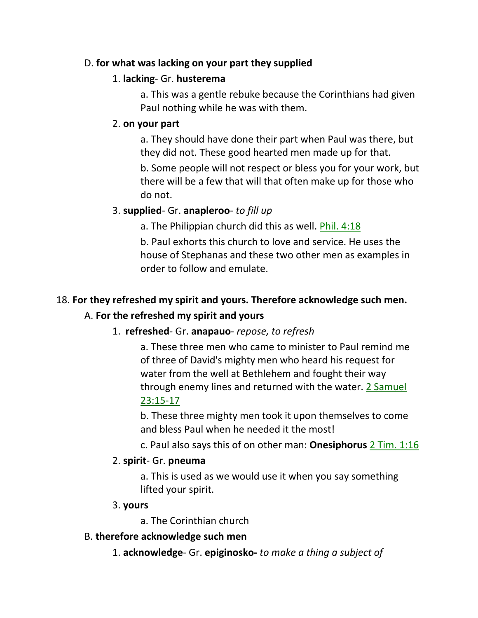## D. **for what was lacking on your part they supplied**

## 1. **lacking**- Gr. **husterema**

a. This was a gentle rebuke because the Corinthians had given Paul nothing while he was with them.

## 2. **on your part**

a. They should have done their part when Paul was there, but they did not. These good hearted men made up for that.

b. Some people will not respect or bless you for your work, but there will be a few that will that often make up for those who do not.

# 3. **supplied**- Gr. **anapleroo**- *to fill up*

a. The Philippian church did this as well. Phil. 4:18

b. Paul exhorts this church to love and service. He uses the house of Stephanas and these two other men as examples in order to follow and emulate.

# 18. **For they refreshed my spirit and yours. Therefore acknowledge such men.**

## A. **For the refreshed my spirit and yours**

## 1. **refreshed**- Gr. **anapauo**- *repose, to refresh*

a. These three men who came to minister to Paul remind me of three of David's mighty men who heard his request for water from the well at Bethlehem and fought their way through enemy lines and returned with the water. 2 Samuel 23:15-17

b. These three mighty men took it upon themselves to come and bless Paul when he needed it the most!

c. Paul also says this of on other man: **Onesiphorus** 2 Tim. 1:16

## 2. **spirit**- Gr. **pneuma**

a. This is used as we would use it when you say something lifted your spirit.

## 3. **yours**

a. The Corinthian church

## B. **therefore acknowledge such men**

1. **acknowledge**- Gr. **epiginosko-** *to make a thing a subject of*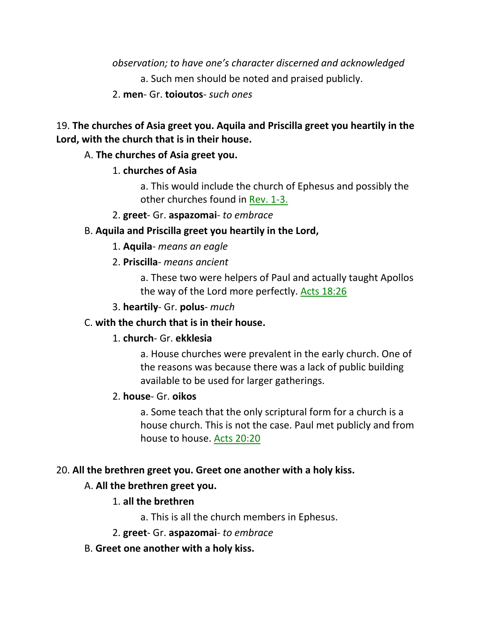*observation; to have one's character discerned and acknowledged* a. Such men should be noted and praised publicly.

2. **men**- Gr. **toioutos**- *such ones*

# 19. **The churches of Asia greet you. Aquila and Priscilla greet you heartily in the Lord, with the church that is in their house.**

## A. **The churches of Asia greet you.**

## 1. **churches of Asia**

a. This would include the church of Ephesus and possibly the other churches found in Rev. 1-3.

2. **greet**- Gr. **aspazomai**- *to embrace*

## B. **Aquila and Priscilla greet you heartily in the Lord,**

- 1. **Aquila** *means an eagle*
- 2. **Priscilla** *means ancient*

a. These two were helpers of Paul and actually taught Apollos the way of the Lord more perfectly. Acts 18:26

3. **heartily**- Gr. **polus**- *much*

## C. **with the church that is in their house.**

## 1. **church**- Gr. **ekklesia**

a. House churches were prevalent in the early church. One of the reasons was because there was a lack of public building available to be used for larger gatherings.

## 2. **house**- Gr. **oikos**

a. Some teach that the only scriptural form for a church is a house church. This is not the case. Paul met publicly and from house to house. Acts 20:20

## 20. **All the brethren greet you. Greet one another with a holy kiss.**

## A. **All the brethren greet you.**

## 1. **all the brethren**

a. This is all the church members in Ephesus.

- 2. **greet** Gr. **aspazomai** *to embrace*
- B. **Greet one another with a holy kiss.**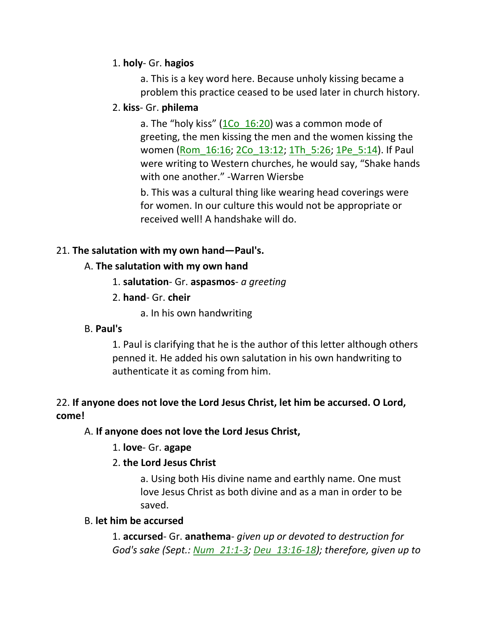## 1. **holy**- Gr. **hagios**

a. This is a key word here. Because unholy kissing became a problem this practice ceased to be used later in church history.

## 2. **kiss**- Gr. **philema**

a. The "holy kiss"  $(1Co<sub>16:20</sub>)$  was a common mode of greeting, the men kissing the men and the women kissing the women (Rom\_16:16; 2Co\_13:12; 1Th\_5:26; 1Pe\_5:14). If Paul were writing to Western churches, he would say, "Shake hands with one another." -Warren Wiersbe

b. This was a cultural thing like wearing head coverings were for women. In our culture this would not be appropriate or received well! A handshake will do.

## 21. **The salutation with my own hand—Paul's.**

## A. **The salutation with my own hand**

- 1. **salutation** Gr. **aspasmos** *a greeting*
- 2. **hand** Gr. **cheir**
	- a. In his own handwriting

## B. **Paul's**

1. Paul is clarifying that he is the author of this letter although others penned it. He added his own salutation in his own handwriting to authenticate it as coming from him.

# 22. **If anyone does not love the Lord Jesus Christ, let him be accursed. O Lord, come!**

## A. **If anyone does not love the Lord Jesus Christ,**

## 1. **love**- Gr. **agape**

## 2. **the Lord Jesus Christ**

a. Using both His divine name and earthly name. One must love Jesus Christ as both divine and as a man in order to be saved.

## B. **let him be accursed**

1. **accursed**- Gr. **anathema**- *given up or devoted to destruction for God's sake (Sept.: Num\_21:1-3; Deu\_13:16-18); therefore, given up to*